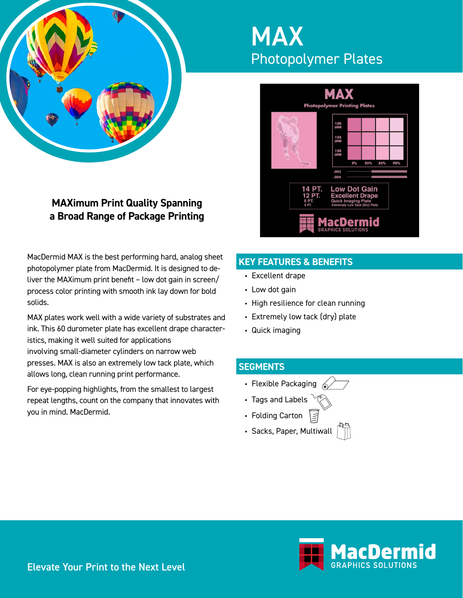

# **MAXimum Print Quality Spanning a Broad Range of Package Printing**

MacDermid MAX is the best performing hard, analog sheet photopolymer plate from MacDermid. It is designed to deliver the MAXimum print benefit – low dot gain in screen/ process color printing with smooth ink lay down for bold solids.

MAX plates work well with a wide variety of substrates and ink. This 60 durometer plate has excellent drape characteristics, making it well suited for applications involving small-diameter cylinders on narrow web presses. MAX is also an extremely low tack plate, which allows long, clean running print performance.

For eye-popping highlights, from the smallest to largest repeat lengths, count on the company that innovates with you in mind. MacDermid.

# MAX Photopolymer Plates



# **KEY FEATURES & BENEFITS**

- Excellent drape
- Low dot gain
- High resilience for clean running
- Extremely low tack (dry) plate
- Quick imaging

### **SEGMENTS**

- Flexible Packaging  $\leqslant$
- Tags and Labels
- Folding Carton
- Sacks, Paper, Multiwall